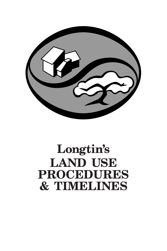

# **Longtin's LAND USE PROCEDURES & TIMELINES**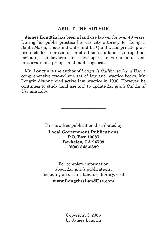#### **ABOUT THE AUTHOR**

**James Longtin** has been a land use lawyer for over 40 years. During his public practice he was city attorney for Lompoc, Santa Maria, Thousand Oaks and La Quinta. His private practice included representation of all sides to land use litigation, including landowners and developers, environmental and preservationist groups, and public agencies.

Mr. Longtin is the author of *Longtin's California Land Use*, a comprehensive two-volume set of law and practice books. Mr. Longtin discontinued active law practice in 1996. However, he continues to study land use and to update *Longtin's Cal Land Use* annually.

This is a free publication distributed by

———————————

**Local Government Publications P.O. Box 10087 Berkeley, CA 94709 (800) 345-0899**

For complete information about *Longtin's* publications, including an on-line land use library, visit **www.LongtinsLandUse.com** 

> Copyright © 2005 by James Longtin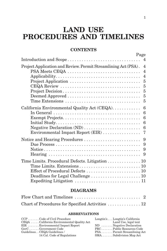# **LAND USE PROCEDURES AND TIMELINES**

## **CONTENTS**

|                                                                                                         | Page<br>$\overline{4}$                                                                           |
|---------------------------------------------------------------------------------------------------------|--------------------------------------------------------------------------------------------------|
| Introduction and Scope                                                                                  |                                                                                                  |
| Project Application and Review. Permit Streamlining Act (PSA).<br>PSA Meets CEQA<br>Project Application | $\overline{\mathcal{A}}$<br>$\overline{4}$<br>$\overline{4}$<br>$\overline{5}$<br>$\overline{5}$ |
| Project Decision<br>Deemed Approved<br>Time Extensions                                                  | $\overline{5}$<br>$\overline{5}$<br>$\overline{5}$                                               |
| California Environmental Quality Act (CEQA).<br>Environmental Impact Report (EIR)                       | $6\phantom{1}6$<br>$6\phantom{1}6$<br>$6\phantom{1}6$<br>$6\phantom{1}6$<br>$6\phantom{1}6$<br>7 |
|                                                                                                         | 9<br>9                                                                                           |
| Time Limits. Procedural Defects. Litigation 10                                                          |                                                                                                  |

### **DIAGRAMS**

| Chart of Procedures for Specified Activities  12 |  |
|--------------------------------------------------|--|

#### **ABBREVIATIONS**

| $CCP$ Code of Civil Procedure              | Longtin's  Longtin's California |
|--------------------------------------------|---------------------------------|
| CEQA  California Environmental Quality Act | Land Use, legal text            |
| $EIR$ Environmental Impact Report          | $ND$ Negative Declaration       |
| $\text{GovC}$ Government Code              | PRCPublic Resources Code        |
| GuidelinesCEQA Guidelines /                | PSA Permit Streamlining Act     |
| 14 Cal. Code of Regulations                | $SMA$ Subdivision Map Act       |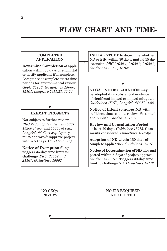#### **COMPLETED APPLICATION Determine Completion** of application within 30 days of submittal or notify applicant if incomplete. Acceptance as complete starts time periods for environmental review.

*GovC 65943, Guidelines 15060, 15101, Longtin's §§11.23, 11.24.*

## **EXEMPT PROJECTS**

Not subject to further review. *PRC 21080(b), Guidelines 15061, 15260 et seq.* and *15300 et seq., Longtin's §4.42 et seq.* Agency must approve/disapprove project within 60 days. *GovC 65950(a).*

**Notice of Exemption** filing triggers 35-day time limit for challenge. *PRC 21152 and 21167, Guidelines 15062.*

**INITIAL STUDY** to determine whether ND or EIR, within 30 days; mutual 15-day extension. *PRC 21080.1, 21080.2, 21080.3, Guidelines 15063, 15102.*

**NEGATIVE DECLARATION** may be adopted if no substantial evidence of significant impact or impact mitigated. *Guidelines 15070, Longtin's §§4.52–4.55.*

**Notice of Intent to Adopt ND** with sufficient time to allow review. Post, mail and publish. *Guidelines 15072.*

**Review and Consultation Period** at least 20 days. *Guidelines 15073.* **Comments** considered. *Guidelines 15074(b).*

**Adoption of ND** within 180 days of complete application. *Guidelines 15107.*

**Notice of Determination of ND** filed and posted within 5 days of project approval. *Guidelines 15075.* Triggers 30-day time limit to challenge ND. *Guidelines 15112.*

NO CEQA REVIEW NO EIR REQUIRED ND ADOPTED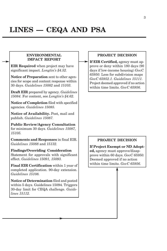#### **ENVIRONMENTAL IMPACT REPORT**

**EIR Required** when project may have significant impact. *Longtin's §4.52.*

**Notice of Preparation** sent to other agencies for scope and content response within 30 days. *Guidelines 15082* and *15103.*

**Draft EIR** prepared by agency. *Guidelines 15084.* For content, see *Longtin's §4.62.*

**Notice of Completion** filed with specified agencies. *Guidelines 15085.*

**Notice of Availability.** Post, mail and publish. *Guidelines 15087.*

**Public Review/Agency Consultation** for minimum 30 days. *Guidelines 15087, 15105.*

**Comments and Responses** in final EIR. *Guidelines 15088* and *15132.*

**Findings/Overriding Consideration** Statement for approvals with significant effect. *Guidelines 15091, 15093.*

**Final EIR Certification** within 1 year of completed application. 90-day extension. *Guidelines 15108.*

**Notice of Determination** filed and posted within 5 days. Guidelines 15094. Triggers 30-day limit for CEQA challenge. *Guidelines 15112.*

#### **PROJECT DECISION**

**If EIR Certified,** agency must approve or deny within 180 days (90 days if low-income housing) *GovC 65950.* Less for subdivision maps *GovC 65952.1. Guidelines 15111.* Project deemed approved if no action within time limits. *GovC 65956.*

#### **PROJECT DECISION**

**If Project Exempt or ND Adopted,** agency must approve/disapprove within 60 days. *GovC 65950.* Deemed approved if no action within time limits. *GovC 65956.*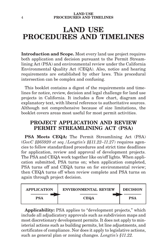# **LAND USE PROCEDURES AND TIMELINES**

**Introduction and Scope.** Most every land use project requires both application and decision pursuant to the Permit Streamlining Act (PSA) and environmental review under the California Environmental Quality Act (CEQA). Also, notice and hearing requirements are established by other laws. This procedural intersection can be complex and confusing.

This booklet contains a digest of the requirements and timelines for notice, review, decision and legal challenge for land use projects in California. It includes a flow chart, diagram and explanatory text, with liberal reference to authoritative sources. Although not comprehensive because of size limitations, the booklet covers areas most useful for most permit activities.

# **PROJECT APPLICATION AND REVIEW PERMIT STREAMLINING ACT (PSA)**

**PSA Meets CEQA:** The Permit Streamlining Act (PSA) (*GovC §§65920 et seq./Longtin's §§11.22–11.27*) requires agencies to follow standardized procedures and strict time deadlines for application, review and approval of development projects. The PSA and CEQA work together like on/off lights. When application submitted, PSA turns on; when application completed, PSA turns off and CEQA turns on for environmental review; then CEQA turns off when review complete and PSA turns on again through project decision.



**Applicability:** PSA applies to "development projects," which include all adjudicatory approvals such as subdivision maps and most discretionary development permits. It does not apply to ministerial actions such as building permits, lot line adjustments, and certificates of compliance. Nor does it apply to legislative actions, such as general plan or zoning changes. *Longtin's §11.22.*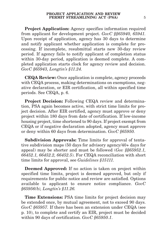**Project Application:** Agency specifies information required from applicant for development project. *GovC §§65940, 65941.* Upon receipt of application, agency has 30 days to determine and notify applicant whether application is complete for processing. If incomplete, resubmittal starts new 30-day review period. If agency fails to notify applicant of completion status within 30-day period, application is deemed complete. A completed application starts clock for agency review and decision. *GovC §65943, Longtin's §11.24.*

**CEQA Review:** Once application is complete, agency proceeds with CEQA process, making determinations on exemptions, negative declaration, or EIR certification, all within specified time periods. See CEQA, p. 6.

**Project Decision:** Following CEQA review and determination, PSA again becomes active, with strict time limits for project decision. After EIR certified, agency must approve or deny project within 180 days from date of certification. If low-income housing project, time shortened to 90 days. If project exempt from CEQA or if negative declaration adopted, agency must approve or deny within 60 days from determination. *GovC §65950.*

**Subdivision Approvals:** Time limits for approval of tentative subdivision maps (50 days for advisory agency/40+ days for appeal) may be shorter and must be followed (*Gov §§65952.1, 66452.1, 66452.2, 66452.5*). For CEQA reconciliation with short time limits for approval, see *Guidelines §15111.*

**Deemed Approved:** If no action is taken on project within specified time limits, project is deemed approved, but only if requirements for public notice and review are satisfied. Options available to applicant to ensure notice compliance. *GovC §65956(b), Longtin's §11.26.*

**Time Extensions:** PSA time limits for project decision may be extended once, by mutual agreement, not to exceed 90 days. *GovC §65957.* If there has been an extension under CEQA (see p. 10), to complete and certify an EIR, project must be decided within 90 days of certification. *GovC §65950.1*.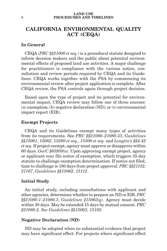#### **LAND USE** 6 **PROCEDURES AND TIMELINES**

# **CALIFORNIA ENVIRONMENTAL QUALITY ACT (CEQA)**

#### **In General**

CEQA (*PRC §§21000 et seq.*) is a procedural statute designed to inform decision makers and the public about potential environmental effects of proposed land use activities. A major challenge for practitioners is compliance with the various notice, consultation and review periods required by CEQA and its Guidelines. CEQA works together with the PSA by commencing its environmental review after project application is complete. After CEQA review, the PSA controls again through project decision.

Based upon the type of project and its potential for environmental impact, CEQA review may follow one of three courses: (a) exemption; (b) negative declaration (ND); or (c) environmental impact report (EIR).

#### **Exempt Projects**

CEQA and its Guidelines exempt many types of activities from its requirements. See *PRC §§21080–21080.33*, *Guidelines §§15061*, *15062*, *15260 et seq.*, *15300 et seq.* and *Longtin's §§4.42 et seq.* If project exempt, agency must approve or disapprove within 60 days. *GovC §65950(a)*. Upon approving exempt project, agency or applicant *may* file notice of exemption, which triggers 35-day statute to challenge exemption determination. If notice not filed, time to challenge is 180 days from project approval. *PRC §§21152*, *21167*, *Guidelines §§15062*, *15112*.

#### **Initial Study**

An initial study, including consultations with applicant and other agencies, determines whether to prepare an ND or EIR. *PRC §§21080.1–21080.3*, *Guidelines §15063(g)*. Agency must decide within 30 days. May be extended 15 days by mutual consent. *PRC §21080.2. See Guidelines §§15063, 15102*.

#### **Negative Declaration (ND)**

ND may be adopted when no substantial evidence that project may have significant effect. For projects where significant effect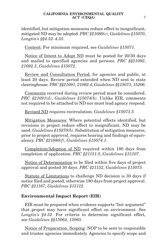identified, but mitigation measures reduce effect to insignificant, mitigated ND may be adopted. *PRC §21080(c)*, *Guidelines §15070*, *Longtin's §§4.52–4.55*.

Content: For minimum required, see *Guidelines §15071.*

Notice of Intent to Adopt ND must be posted for 20/30 days and mailed to specified agencies and persons. *PRC §§21092*, *21092.3*, *Guidelines §15072*.

Review and Consultation Period, for agencies and public, at least 20 days. Review period extended when ND sent to state clearinghouse. *PRC §§21091*, *21092.4*, *Guidelines §§15073*, *15206*.

Comments received during review period must be considered. *PRC §21091(d)*, *Guidelines §15074(b)*. Unlike EIR, comments not required to be attached to ND nor must lead agency respond.

Revised ND requires recirculation. *Guidelines §15073.5*.

Mitigation Measures: Where potential effects identified, but revisions in project reduce effect to insignificant, ND may be used. *Guidelines §15070(b)*. Substitution of mitigation measures, prior to project approval, requires hearing and findings of equivalency. *PRC §21080(f)*, *Guidelines §15074.1*.

Completion/Adoption of ND required within 180 days from completion of application. *PRC §21151.5*, *Guidelines §15107*.

Notice of Determination to be filed within five days of project approval and posted 30 days. *PRC §21152*, *Guidelines §15075*.

Statute of Limitations to challenge ND decision is 30 days if notice filed and posted, otherwise 180 days from project approval. *PRC §21167*, *Guidelines §15112*.

#### **Environmental Impact Report (EIR)**

EIR must be prepared when evidence supports "fair argument" that project may have significant effect on environment. See *Longtin's §4.52.* For criteria to determine significant effect, see *Guidelines §§15064, 15065.*

Notice of Preparation. Scoping: NOP to be sent to responsible and trustee agencies immediately. Agencies to specify scope and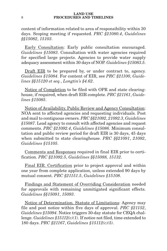#### **LAND USE** 8 **PROCEDURES AND TIMELINES**

content of information related to area of responsibility within 30 days. Scoping meeting if requested. *PRC §21080.4*, *Guidelines §§15082*, *15103*.

Early Consultation: Early public consultation encouraged. *Guidelines §15083*. Consultation with water agencies required for specified large projects. Agencies to provide water supply adequacy assessment within 30 days of NOP. *Guidelines §15083.5*.

Draft EIR to be prepared by, or under contract to, agency. *Guidelines §15084*. For content of EIR, see *PRC §21100*, *Guidelines §§15120 et seq.*, *Longtin's §4.62*.

Notice of Completion to be filed with OPR and state clearinghouse, if required, when draft EIR complete. *PRC §21161*, *Guidelines §15085*.

Notice of Availability. Public Review and Agency Consultation: NOA sent to affected agencies and requesting individuals. Post and mail to contiguous owners. *PRC §§21092*, *21092.3*, *Guidelines §15087*. Lead agency to consult with affected agencies and request comments. *PRC §21092.4*, *Guidelines §15086*. Minimum consultation and public review period for draft EIR is 30 days, 45 days when submitted to state clearinghouse. *PRC §§21091*, *21092*, *Guidelines §15105*.

Comments and Responses required in final EIR prior to certification. *PRC §21092.5*, *Guidelines §§15088, 15132*.

Final EIR. Certification prior to project approval and within one year from complete application, unless extended 90 days by mutual consent. *PRC §21151.5*, *Guidelines §15108*.

Findings and Statement of Overriding Consideration needed for approvals with remaining unmitigated significant effects. *Guidelines §§15091*, *15093*.

Notice of Determination. Statute of Limitations: Agency may file and post notice within five days of approval. *PRC §21152*, *Guidelines §15094*. Notice triggers 30-day statute for CEQA challenge. *Guidelines §15112(c)(1)*. If notice not filed, time extended to 180 days. *PRC §21167*, *Guidelines §15112(c)(5)*.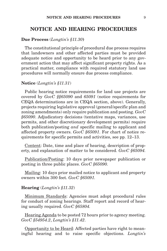### **NOTICE AND HEARING PROCEDURES**

#### **Due Process** (*Longtin's §11.30***)**

The constitutional principle of procedural due process requires that landowners and other affected parties must be provided adequate notice and opportunity to be heard prior to any government action that may affect significant property rights. As a practical matter, compliance with required statutory land use procedures will normally ensure due process compliance.

#### **Notice** (*Longtin's §11.31*)

Public hearing notice requirements for land use projects are covered by *GovC §§65090* and *65091* (notice requirements for CEQA determinations are in CEQA section, above). Generally, projects requiring legislative approval (general/specific plan and zoning amendments) only require publication and posting. *GovC §65090*. Adjudicatory decisions (tentative maps, variances, use permits, and other discretionary development permits) require both publication/posting *and* specific mailing to applicant and affected property owners. *GovC §65091*. For chart of notice requirements for specific permits and activities, see pp. 12–13.

Content: Date, time and place of hearing, description of property, and explanation of matter to be considered. *GovC §65094.*

Publication/Posting: 10 days prior newspaper publication or posting in three public places. *GovC §65090.*

Mailing: 10 days prior mailed notice to applicant and property owners within 300 feet. *GovC §65091.*

#### **Hearing** (*Longtin's §11.32*)

Minimum Standards: Agencies must adopt procedural rules for conduct of zoning hearings. Staff report and record of hearing usually required. *GovC §65804.*

Hearing Agenda to be posted 72 hours prior to agency meeting. *GovC §54954.2*, *Longtin's §11.42*.

Opportunity to be Heard: Affected parties have right to meaningful hearing and to raise specific objections. *Longtin's*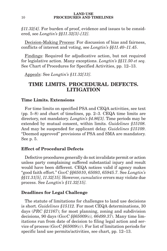*§11.32[4]*. For burden of proof, evidence and issues to be considered, see *Longtin's §§11.32[3]–[12]*.

Decision-Making Process: For discussion of bias and fairness, conflicts of interest and voting, see *Longtin's §§11.40–11.45*.

Findings: Required for adjudicative action, but not required for legislative action. Many exceptions. *Longtin's §§11.50 et seq.* See Chart of Procedures for Specified Activities, pp. 12–13.

Appeals: See *Longtin's §11.32[13]*.

# **TIME LIMITS. PROCEDURAL DEFECTS. LITIGATION**

#### **Time Limits. Extensions**

For time limits on specified PSA and CEQA activities, see text (pp. 5–8) and chart of timelines, pp. 2–3. CEQA time limits are directory, not mandatory. *Longtin's §4.86[3]*. Time periods may be extended by mutual consent, within limits. *Guidelines §15108*. And may be suspended for applicant delay. *Guidelines §15109*. "Deemed approved" provisions of PSA and SMA are mandatory. See p. 5.

#### **Effect of Procedural Defects**

Defective procedures generally do not invalidate permit or action unless party complaining suffered substantial injury and result would have been different. CEQA notices valid if agency makes "good faith effort." *GovC §§65010*, *65093*, *65945.7*. See *Longtin's §§11.31[5]*, *11.32[15]*. However, *cumulative* errors may violate due process. See *Longtin's §11.32[15]*.

### **Deadlines for Legal Challenge**

The statute of limitations for challenges to land use decisions is short. *Guidelines §15112.* For most CEQA determinations, 30 days (*PRC §21167*); for most planning, zoning and subdivision decisions, 90 days (*GovC §§65009(c), 66499.37*). Many time limitations run from date of decision to filing legal action and service of process (*GovC §65009(c)*). For list of limitation periods for specific land use permits/activities, see chart, pp. 12–13.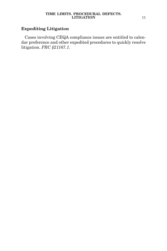# **Expediting Litigation**

Cases involving CEQA compliance issues are entitled to calendar preference and other expedited procedures to quickly resolve litigation. *PRC §21167.1.*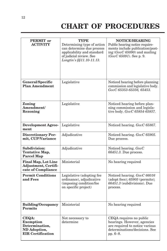# **CHART OF PROCEDURES**

| <b>PERMIT</b> or<br><b>ACTIVITY</b>                                              | <b>TYPE</b><br>Determining type of action<br>can determine due process<br>applicability and standard<br>of judicial review. See<br>Longtin's §§11.10-11.13. | <b>NOTICE/HEARING</b><br>Public hearing notice require-<br>ments include publication/post-<br>ing $(GovC 65090)$ and mailing<br>$(GovC 65091)$ . See p. 9. |
|----------------------------------------------------------------------------------|-------------------------------------------------------------------------------------------------------------------------------------------------------------|------------------------------------------------------------------------------------------------------------------------------------------------------------|
|                                                                                  |                                                                                                                                                             |                                                                                                                                                            |
| General/Specific<br><b>Plan Amendment</b>                                        | Legislative                                                                                                                                                 | Noticed hearing before planning<br>commission and legislative body.<br>GovC 65353-65356, 65453.                                                            |
| Zoning<br>Amendment/<br>Rezoning                                                 | Legislative                                                                                                                                                 | Noticed hearing before plan-<br>ning commission and legisla-<br>tive body. GovC 65854-65857.                                                               |
| <b>Development Agree-</b><br>ment                                                | Legislative                                                                                                                                                 | Noticed hearing. GovC 65867.                                                                                                                               |
| <b>Discretionary Per-</b><br>mit, CUP/Variance                                   | Adjudicative                                                                                                                                                | Noticed hearing. GovC 65905.<br>Due process.                                                                                                               |
| Subdivision:<br>Tentative Map,<br><b>Parcel Map</b>                              | Adjudicative                                                                                                                                                | Noticed hearing. GovC<br>$66451.3$ . Due process.                                                                                                          |
| <b>Final Map, Lot Line</b><br><b>Adjustment, Certifi-</b><br>cate of Compliance  | Ministerial                                                                                                                                                 | No hearing required                                                                                                                                        |
| <b>Permit Conditions</b><br>and Fees                                             | Legislative (adopting fee<br>ordinance), adjudicative<br>(imposing condition/fee<br>on specific project)                                                    | Noticed hearing. GovC 66016<br>(adopt fees); 65905 (permits);<br>66451.3 (subdivisions). Due<br>process.                                                   |
| <b>Building/Occupancy</b><br><b>Permits</b>                                      | Ministerial                                                                                                                                                 | No hearing required                                                                                                                                        |
| CEQA:<br>Exemption<br>Determination,<br>ND Adoption,<br><b>EIR Certification</b> | Not necessary to<br>determine                                                                                                                               | CEQA requires no public<br>hearings. However, agencies<br>are required to notice various<br>determinations/decisions. See<br>pp. $6-8$ .                   |